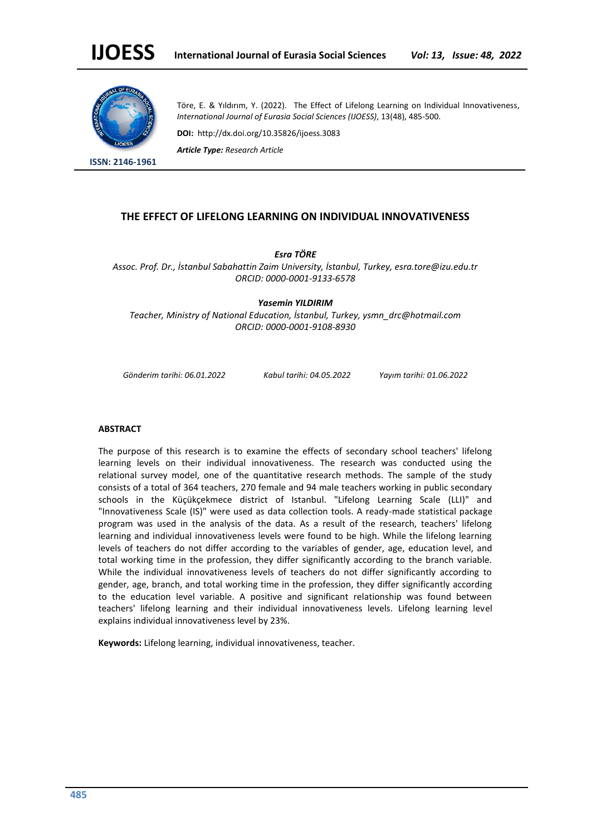

**ISSN: 2146-1961**

Töre, E. & Yıldırım, Y. (2022). The Effect of Lifelong Learning on Individual Innovativeness, *International Journal of Eurasia Social Sciences (IJOESS)*, 13(48), 485-500.

**DOI:** http://dx.doi.org/10.35826/ijoess.3083

*Article Type: Research Article*

# **THE EFFECT OF LIFELONG LEARNING ON INDIVIDUAL INNOVATIVENESS**

*Esra TÖRE*

*Assoc. Prof. Dr., İstanbul Sabahattin Zaim University, İstanbul, Turkey, esra.tore@izu.edu.tr ORCID: 0000-0001-9133-6578*

*Yasemin YILDIRIM* 

*Teacher, Ministry of National Education, İstanbul, Turkey, ysmn\_drc@hotmail.com ORCID: 0000-0001-9108-8930*

*Gönderim tarihi: 06.01.2022 Kabul tarihi: 04.05.2022 Yayım tarihi: 01.06.2022*

### **ABSTRACT**

The purpose of this research is to examine the effects of secondary school teachers' lifelong learning levels on their individual innovativeness. The research was conducted using the relational survey model, one of the quantitative research methods. The sample of the study consists of a total of 364 teachers, 270 female and 94 male teachers working in public secondary schools in the Küçükçekmece district of Istanbul. "Lifelong Learning Scale (LLI)" and "Innovativeness Scale (IS)" were used as data collection tools. A ready-made statistical package program was used in the analysis of the data. As a result of the research, teachers' lifelong learning and individual innovativeness levels were found to be high. While the lifelong learning levels of teachers do not differ according to the variables of gender, age, education level, and total working time in the profession, they differ significantly according to the branch variable. While the individual innovativeness levels of teachers do not differ significantly according to gender, age, branch, and total working time in the profession, they differ significantly according to the education level variable. A positive and significant relationship was found between teachers' lifelong learning and their individual innovativeness levels. Lifelong learning level explains individual innovativeness level by 23%.

**Keywords:** Lifelong learning, individual innovativeness, teacher.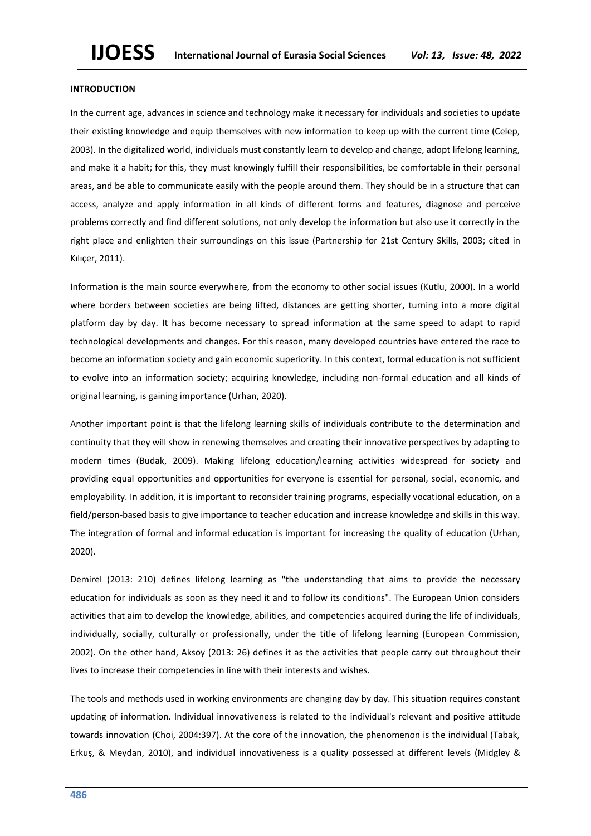### **INTRODUCTION**

In the current age, advances in science and technology make it necessary for individuals and societies to update their existing knowledge and equip themselves with new information to keep up with the current time (Celep, 2003). In the digitalized world, individuals must constantly learn to develop and change, adopt lifelong learning, and make it a habit; for this, they must knowingly fulfill their responsibilities, be comfortable in their personal areas, and be able to communicate easily with the people around them. They should be in a structure that can access, analyze and apply information in all kinds of different forms and features, diagnose and perceive problems correctly and find different solutions, not only develop the information but also use it correctly in the right place and enlighten their surroundings on this issue (Partnership for 21st Century Skills, 2003; cited in Kılıçer, 2011).

Information is the main source everywhere, from the economy to other social issues (Kutlu, 2000). In a world where borders between societies are being lifted, distances are getting shorter, turning into a more digital platform day by day. It has become necessary to spread information at the same speed to adapt to rapid technological developments and changes. For this reason, many developed countries have entered the race to become an information society and gain economic superiority. In this context, formal education is not sufficient to evolve into an information society; acquiring knowledge, including non-formal education and all kinds of original learning, is gaining importance (Urhan, 2020).

Another important point is that the lifelong learning skills of individuals contribute to the determination and continuity that they will show in renewing themselves and creating their innovative perspectives by adapting to modern times (Budak, 2009). Making lifelong education/learning activities widespread for society and providing equal opportunities and opportunities for everyone is essential for personal, social, economic, and employability. In addition, it is important to reconsider training programs, especially vocational education, on a field/person-based basis to give importance to teacher education and increase knowledge and skills in this way. The integration of formal and informal education is important for increasing the quality of education (Urhan, 2020).

Demirel (2013: 210) defines lifelong learning as "the understanding that aims to provide the necessary education for individuals as soon as they need it and to follow its conditions". The European Union considers activities that aim to develop the knowledge, abilities, and competencies acquired during the life of individuals, individually, socially, culturally or professionally, under the title of lifelong learning (European Commission, 2002). On the other hand, Aksoy (2013: 26) defines it as the activities that people carry out throughout their lives to increase their competencies in line with their interests and wishes.

The tools and methods used in working environments are changing day by day. This situation requires constant updating of information. Individual innovativeness is related to the individual's relevant and positive attitude towards innovation (Choi, 2004:397). At the core of the innovation, the phenomenon is the individual (Tabak, Erkuş, & Meydan, 2010), and individual innovativeness is a quality possessed at different levels (Midgley &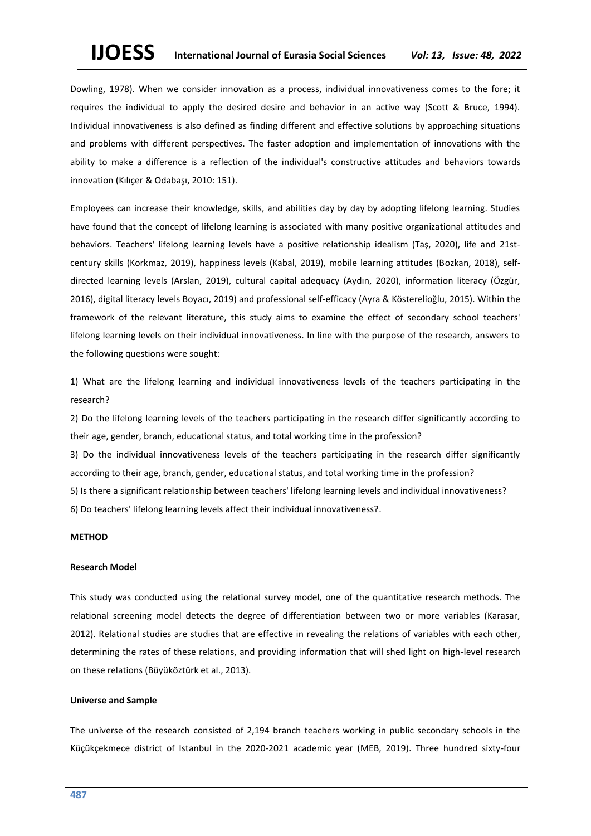Dowling, 1978). When we consider innovation as a process, individual innovativeness comes to the fore; it requires the individual to apply the desired desire and behavior in an active way (Scott & Bruce, 1994). Individual innovativeness is also defined as finding different and effective solutions by approaching situations and problems with different perspectives. The faster adoption and implementation of innovations with the ability to make a difference is a reflection of the individual's constructive attitudes and behaviors towards innovation (Kılıçer & Odabaşı, 2010: 151).

Employees can increase their knowledge, skills, and abilities day by day by adopting lifelong learning. Studies have found that the concept of lifelong learning is associated with many positive organizational attitudes and behaviors. Teachers' lifelong learning levels have a positive relationship idealism (Taş, 2020), life and 21stcentury skills (Korkmaz, 2019), happiness levels (Kabal, 2019), mobile learning attitudes (Bozkan, 2018), selfdirected learning levels (Arslan, 2019), cultural capital adequacy (Aydın, 2020), information literacy (Özgür, 2016), digital literacy levels Boyacı, 2019) and professional self-efficacy (Ayra & Kösterelioğlu, 2015). Within the framework of the relevant literature, this study aims to examine the effect of secondary school teachers' lifelong learning levels on their individual innovativeness. In line with the purpose of the research, answers to the following questions were sought:

1) What are the lifelong learning and individual innovativeness levels of the teachers participating in the research?

2) Do the lifelong learning levels of the teachers participating in the research differ significantly according to their age, gender, branch, educational status, and total working time in the profession?

3) Do the individual innovativeness levels of the teachers participating in the research differ significantly according to their age, branch, gender, educational status, and total working time in the profession? 5) Is there a significant relationship between teachers' lifelong learning levels and individual innovativeness? 6) Do teachers' lifelong learning levels affect their individual innovativeness?.

### **METHOD**

#### **Research Model**

This study was conducted using the relational survey model, one of the quantitative research methods. The relational screening model detects the degree of differentiation between two or more variables (Karasar, 2012). Relational studies are studies that are effective in revealing the relations of variables with each other, determining the rates of these relations, and providing information that will shed light on high-level research on these relations (Büyüköztürk et al., 2013).

#### **Universe and Sample**

The universe of the research consisted of 2,194 branch teachers working in public secondary schools in the Küçükçekmece district of Istanbul in the 2020-2021 academic year (MEB, 2019). Three hundred sixty-four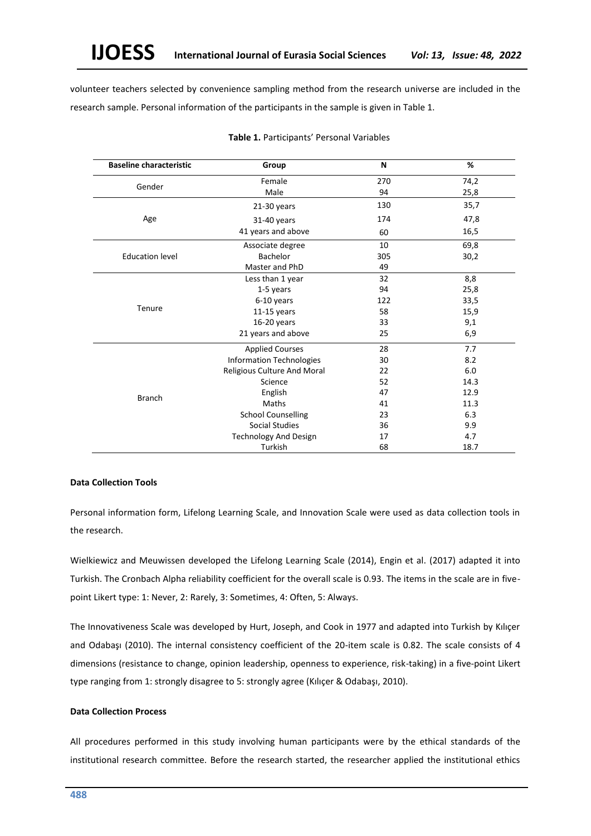volunteer teachers selected by convenience sampling method from the research universe are included in the research sample. Personal information of the participants in the sample is given in Table 1.

| <b>Baseline characteristic</b> | Group                                       | N   | %    |
|--------------------------------|---------------------------------------------|-----|------|
|                                | Female                                      | 270 | 74,2 |
| Gender                         | Male                                        | 94  | 25,8 |
|                                | 21-30 years                                 | 130 | 35,7 |
| Age                            | 31-40 years                                 | 174 | 47,8 |
|                                | 41 years and above                          | 60  | 16,5 |
|                                | Associate degree                            | 10  | 69,8 |
| <b>Education level</b>         | Bachelor                                    | 305 | 30,2 |
|                                | Master and PhD                              | 49  |      |
|                                | Less than 1 year                            | 32  | 8,8  |
|                                | 1-5 years                                   | 94  | 25,8 |
|                                | 6-10 years                                  | 122 | 33,5 |
|                                | $11-15$ years                               | 58  | 15,9 |
|                                | Tenure<br>16-20 years<br>21 years and above | 33  | 9,1  |
|                                |                                             | 25  | 6,9  |
|                                | <b>Applied Courses</b>                      | 28  | 7.7  |
|                                | <b>Information Technologies</b>             | 30  | 8.2  |
|                                | Religious Culture And Moral                 | 22  | 6.0  |
|                                | Science                                     | 52  | 14.3 |
| <b>Branch</b>                  | English                                     | 47  | 12.9 |
|                                | Maths                                       | 41  | 11.3 |
|                                | <b>School Counselling</b>                   | 23  | 6.3  |
|                                | <b>Social Studies</b>                       | 36  | 9.9  |
|                                | <b>Technology And Design</b>                | 17  | 4.7  |
|                                | Turkish                                     | 68  | 18.7 |

### **Table 1.** Participants' Personal Variables

## **Data Collection Tools**

Personal information form, Lifelong Learning Scale, and Innovation Scale were used as data collection tools in the research.

Wielkiewicz and Meuwissen developed the Lifelong Learning Scale (2014), Engin et al. (2017) adapted it into Turkish. The Cronbach Alpha reliability coefficient for the overall scale is 0.93. The items in the scale are in fivepoint Likert type: 1: Never, 2: Rarely, 3: Sometimes, 4: Often, 5: Always.

The Innovativeness Scale was developed by Hurt, Joseph, and Cook in 1977 and adapted into Turkish by Kılıçer and Odabaşı (2010). The internal consistency coefficient of the 20-item scale is 0.82. The scale consists of 4 dimensions (resistance to change, opinion leadership, openness to experience, risk-taking) in a five-point Likert type ranging from 1: strongly disagree to 5: strongly agree (Kılıçer & Odabaşı, 2010).

## **Data Collection Process**

All procedures performed in this study involving human participants were by the ethical standards of the institutional research committee. Before the research started, the researcher applied the institutional ethics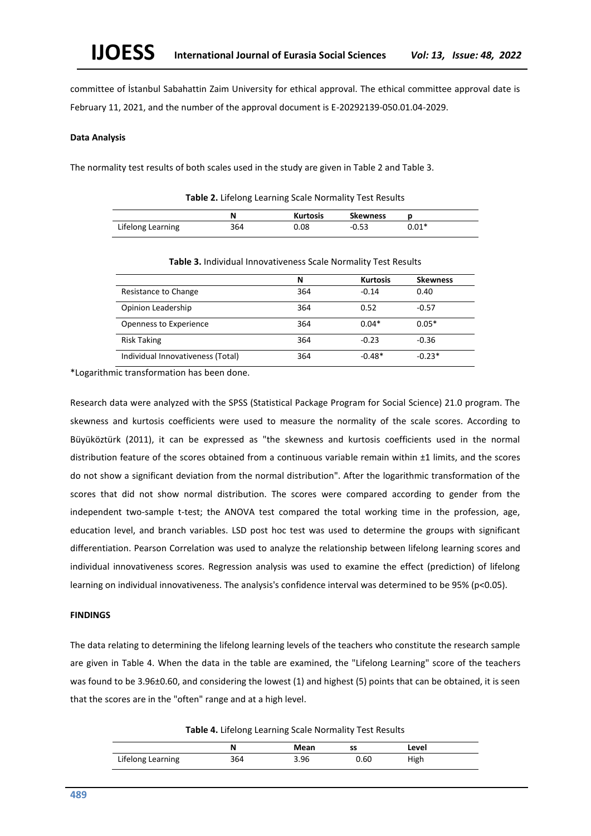committee of İstanbul Sabahattin Zaim University for ethical approval. The ethical committee approval date is February 11, 2021, and the number of the approval document is E-20292139-050.01.04-2029.

### **Data Analysis**

The normality test results of both scales used in the study are given in Table 2 and Table 3.

|                   |     | __              |                 |         |
|-------------------|-----|-----------------|-----------------|---------|
|                   | N   | <b>Kurtosis</b> | <b>Skewness</b> |         |
| Lifelong Learning | 364 | 0.08            | $-0.53$         | $0.01*$ |

**Table 2.** Lifelong Learning Scale Normality Test Results

|                                   | N   | <b>Kurtosis</b> | <b>Skewness</b> |
|-----------------------------------|-----|-----------------|-----------------|
| Resistance to Change              | 364 | $-0.14$         | 0.40            |
| Opinion Leadership                | 364 | 0.52            | $-0.57$         |
| Openness to Experience            | 364 | $0.04*$         | $0.05*$         |
| <b>Risk Taking</b>                | 364 | $-0.23$         | $-0.36$         |
| Individual Innovativeness (Total) | 364 | $-0.48*$        | $-0.23*$        |

**Table 3.** Individual Innovativeness Scale Normality Test Results

\*Logarithmic transformation has been done.

Research data were analyzed with the SPSS (Statistical Package Program for Social Science) 21.0 program. The skewness and kurtosis coefficients were used to measure the normality of the scale scores. According to Büyüköztürk (2011), it can be expressed as "the skewness and kurtosis coefficients used in the normal distribution feature of the scores obtained from a continuous variable remain within ±1 limits, and the scores do not show a significant deviation from the normal distribution". After the logarithmic transformation of the scores that did not show normal distribution. The scores were compared according to gender from the independent two-sample t-test; the ANOVA test compared the total working time in the profession, age, education level, and branch variables. LSD post hoc test was used to determine the groups with significant differentiation. Pearson Correlation was used to analyze the relationship between lifelong learning scores and individual innovativeness scores. Regression analysis was used to examine the effect (prediction) of lifelong learning on individual innovativeness. The analysis's confidence interval was determined to be 95% (p<0.05).

### **FINDINGS**

The data relating to determining the lifelong learning levels of the teachers who constitute the research sample are given in Table 4. When the data in the table are examined, the "Lifelong Learning" score of the teachers was found to be 3.96±0.60, and considering the lowest (1) and highest (5) points that can be obtained, it is seen that the scores are in the "often" range and at a high level.

**Table 4.** Lifelong Learning Scale Normality Test Results

|                   |     | Mean | SS   | Level |
|-------------------|-----|------|------|-------|
| Lifelong Learning | 364 | 3.96 | 0.60 | High  |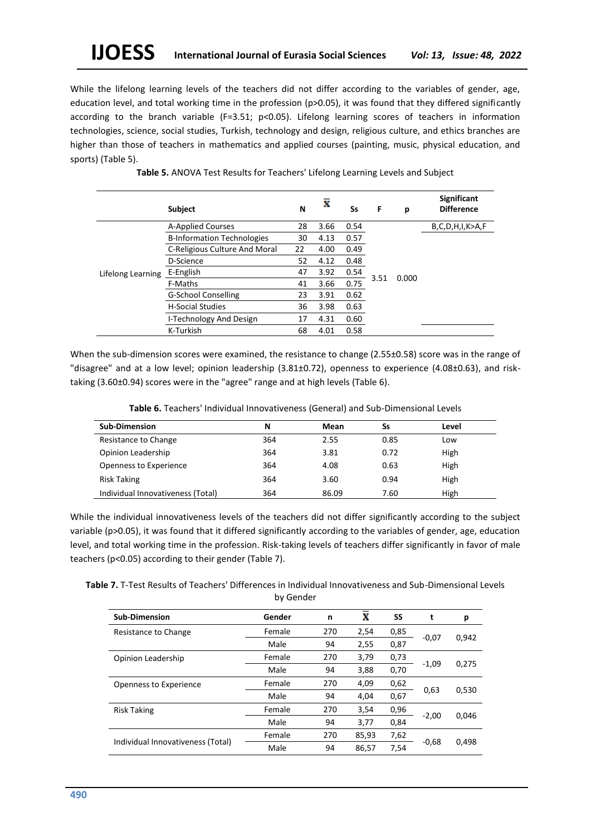While the lifelong learning levels of the teachers did not differ according to the variables of gender, age, education level, and total working time in the profession (p>0.05), it was found that they differed significantly according to the branch variable (F=3.51; p<0.05). Lifelong learning scores of teachers in information technologies, science, social studies, Turkish, technology and design, religious culture, and ethics branches are higher than those of teachers in mathematics and applied courses (painting, music, physical education, and sports) (Table 5).

|                   | <b>Subject</b>                    | N  | x    | Ss   | F             | р | <b>Significant</b><br><b>Difference</b> |
|-------------------|-----------------------------------|----|------|------|---------------|---|-----------------------------------------|
|                   | A-Applied Courses                 | 28 | 3.66 | 0.54 |               |   | B, C, D, H, I, K > A, F                 |
|                   | <b>B-Information Technologies</b> | 30 | 4.13 | 0.57 |               |   |                                         |
|                   | C-Religious Culture And Moral     | 22 | 4.00 | 0.49 |               |   |                                         |
|                   | D-Science                         | 52 | 4.12 | 0.48 |               |   |                                         |
| Lifelong Learning | E-English                         | 47 | 3.92 | 0.54 |               |   |                                         |
|                   | F-Maths                           | 41 | 3.66 | 0.75 | 0.000<br>3.51 |   |                                         |
|                   | <b>G-School Conselling</b>        | 23 | 3.91 | 0.62 |               |   |                                         |
|                   | <b>H-Social Studies</b>           | 36 | 3.98 | 0.63 |               |   |                                         |
|                   | I-Technology And Design           | 17 | 4.31 | 0.60 |               |   |                                         |
|                   | K-Turkish                         | 68 | 4.01 | 0.58 |               |   |                                         |

**Table 5.** ANOVA Test Results for Teachers' Lifelong Learning Levels and Subject

When the sub-dimension scores were examined, the resistance to change (2.55±0.58) score was in the range of "disagree" and at a low level; opinion leadership (3.81±0.72), openness to experience (4.08±0.63), and risktaking (3.60±0.94) scores were in the "agree" range and at high levels (Table 6).

| <b>Sub-Dimension</b>              | N   | Mean  | Ss   | Level |
|-----------------------------------|-----|-------|------|-------|
| Resistance to Change              | 364 | 2.55  | 0.85 | Low   |
| Opinion Leadership                | 364 | 3.81  | 0.72 | High  |
| Openness to Experience            | 364 | 4.08  | 0.63 | High  |
| <b>Risk Taking</b>                | 364 | 3.60  | 0.94 | High  |
| Individual Innovativeness (Total) | 364 | 86.09 | 7.60 | High  |

**Table 6.** Teachers' Individual Innovativeness (General) and Sub-Dimensional Levels

While the individual innovativeness levels of the teachers did not differ significantly according to the subject variable (p>0.05), it was found that it differed significantly according to the variables of gender, age, education level, and total working time in the profession. Risk-taking levels of teachers differ significantly in favor of male teachers (p<0.05) according to their gender (Table 7).

**Table 7.** T-Test Results of Teachers' Differences in Individual Innovativeness and Sub-Dimensional Levels by Gender

| <b>Sub-Dimension</b>              | Gender | n   | x     | SS   | t       | р     |
|-----------------------------------|--------|-----|-------|------|---------|-------|
| Resistance to Change              | Female | 270 | 2,54  | 0,85 |         |       |
|                                   | Male   | 94  | 2,55  | 0,87 | $-0.07$ | 0,942 |
| Opinion Leadership                | Female | 270 | 3,79  | 0,73 | $-1,09$ |       |
|                                   | Male   | 94  | 3,88  | 0,70 |         | 0,275 |
| Openness to Experience            | Female | 270 | 4,09  | 0,62 | 0,63    | 0,530 |
|                                   | Male   | 94  | 4,04  | 0,67 |         |       |
| <b>Risk Taking</b>                | Female | 270 | 3,54  | 0,96 | $-2,00$ | 0,046 |
|                                   | Male   | 94  | 3,77  | 0,84 |         |       |
|                                   | Female | 270 | 85,93 | 7,62 |         |       |
| Individual Innovativeness (Total) | Male   | 94  | 86,57 | 7.54 | $-0.68$ | 0,498 |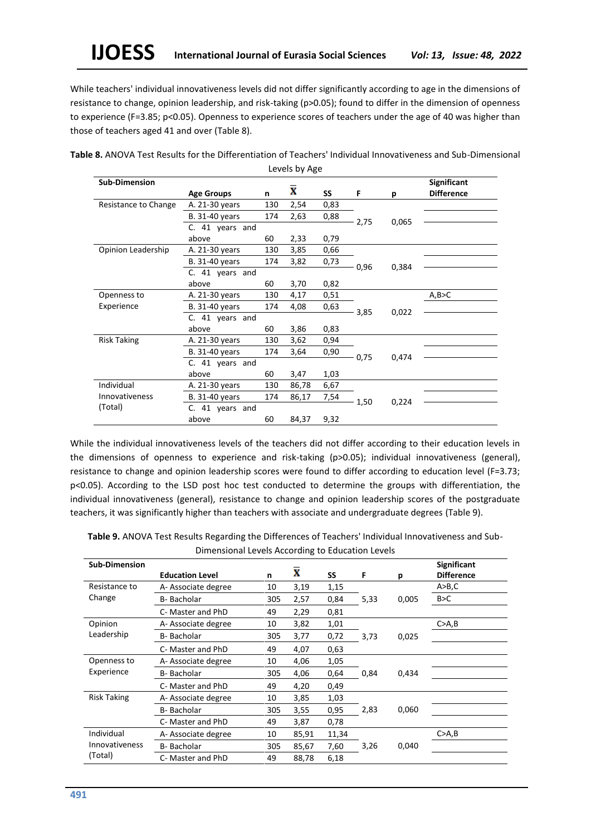While teachers' individual innovativeness levels did not differ significantly according to age in the dimensions of resistance to change, opinion leadership, and risk-taking (p>0.05); found to differ in the dimension of openness to experience (F=3.85; p<0.05). Openness to experience scores of teachers under the age of 40 was higher than those of teachers aged 41 and over (Table 8).

| <b>Sub-Dimension</b> |                       |     |       |      |      |       | <b>Significant</b> |
|----------------------|-----------------------|-----|-------|------|------|-------|--------------------|
|                      | <b>Age Groups</b>     | n   | X     | SS   | F    | р     | <b>Difference</b>  |
| Resistance to Change | A. 21-30 years        | 130 | 2,54  | 0,83 |      |       |                    |
|                      | B. 31-40 years        | 174 | 2,63  | 0,88 | 2,75 | 0,065 |                    |
|                      | C. 41 years and       |     |       |      |      |       |                    |
|                      | above                 | 60  | 2,33  | 0,79 |      |       |                    |
| Opinion Leadership   | A. 21-30 years        | 130 | 3,85  | 0,66 |      |       |                    |
|                      | B. 31-40 years        | 174 | 3,82  | 0,73 | 0,96 | 0,384 |                    |
|                      | C. 41 years and       |     |       |      |      |       |                    |
|                      | above                 | 60  | 3,70  | 0,82 |      |       |                    |
| Openness to          | A. 21-30 years        | 130 | 4,17  | 0,51 |      |       | A, B > C           |
| Experience           | B. 31-40 years        | 174 | 4,08  | 0,63 |      | 0,022 |                    |
|                      | C. 41 years and       |     |       |      | 3,85 |       |                    |
|                      | above                 | 60  | 3,86  | 0,83 |      |       |                    |
| <b>Risk Taking</b>   | A. 21-30 years        | 130 | 3,62  | 0,94 |      |       |                    |
|                      | B. 31-40 years        | 174 | 3,64  | 0,90 |      |       |                    |
|                      | C. 41 years and       |     |       |      | 0,75 | 0,474 |                    |
|                      | above                 | 60  | 3,47  | 1,03 |      |       |                    |
| Individual           | A. 21-30 years        | 130 | 86,78 | 6,67 |      |       |                    |
| Innovativeness       | <b>B.</b> 31-40 years | 174 | 86,17 | 7,54 |      | 0,224 |                    |
| (Total)              | C. 41 years and       |     |       |      | 1,50 |       |                    |
|                      | above                 | 60  | 84,37 | 9,32 |      |       |                    |

| <b>Table 8.</b> ANOVA Test Results for the Differentiation of Teachers' Individual Innovativeness and Sub-Dimensional |
|-----------------------------------------------------------------------------------------------------------------------|
| Levels by Age                                                                                                         |

While the individual innovativeness levels of the teachers did not differ according to their education levels in the dimensions of openness to experience and risk-taking (p>0.05); individual innovativeness (general), resistance to change and opinion leadership scores were found to differ according to education level (F=3.73; p<0.05). According to the LSD post hoc test conducted to determine the groups with differentiation, the individual innovativeness (general), resistance to change and opinion leadership scores of the postgraduate teachers, it was significantly higher than teachers with associate and undergraduate degrees (Table 9).

| <b>Sub-Dimension</b> |                        |     |       |       |      |       | <b>Significant</b> |
|----------------------|------------------------|-----|-------|-------|------|-------|--------------------|
|                      | <b>Education Level</b> | n   | X     | SS    | F    | р     | <b>Difference</b>  |
| Resistance to        | A-Associate degree     | 10  | 3,19  | 1,15  |      |       | A > B, C           |
| Change               | B-Bacholar             | 305 | 2,57  | 0,84  | 5,33 | 0,005 | B > C              |
|                      | C- Master and PhD      | 49  | 2,29  | 0,81  |      |       |                    |
| Opinion              | A-Associate degree     | 10  | 3,82  | 1,01  |      |       | C>A,B              |
| Leadership           | B-Bacholar             | 305 | 3,77  | 0,72  | 3,73 | 0,025 |                    |
|                      | C- Master and PhD      | 49  | 4,07  | 0,63  |      |       |                    |
| Openness to          | A-Associate degree     | 10  | 4,06  | 1,05  |      |       |                    |
| Experience           | B-Bacholar             | 305 | 4,06  | 0,64  | 0,84 | 0,434 |                    |
|                      | C- Master and PhD      | 49  | 4,20  | 0,49  |      |       |                    |
| <b>Risk Taking</b>   | A-Associate degree     | 10  | 3,85  | 1,03  |      |       |                    |
|                      | B-Bacholar             | 305 | 3,55  | 0,95  | 2,83 | 0,060 |                    |
|                      | C- Master and PhD      | 49  | 3,87  | 0,78  |      |       |                    |
| Individual           | A-Associate degree     | 10  | 85,91 | 11,34 |      |       | C>A,B              |
| Innovativeness       | B-Bacholar             | 305 | 85,67 | 7,60  | 3,26 | 0,040 |                    |
| (Total)              | C- Master and PhD      | 49  | 88,78 | 6,18  |      |       |                    |

| Table 9. ANOVA Test Results Regarding the Differences of Teachers' Individual Innovativeness and Sub- |
|-------------------------------------------------------------------------------------------------------|
| Dimensional Levels According to Education Levels                                                      |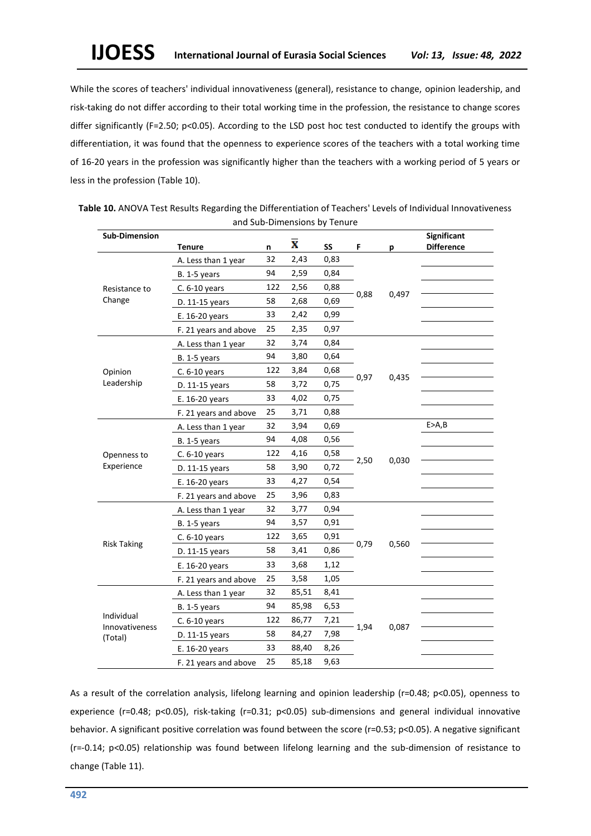While the scores of teachers' individual innovativeness (general), resistance to change, opinion leadership, and risk-taking do not differ according to their total working time in the profession, the resistance to change scores differ significantly (F=2.50; p<0.05). According to the LSD post hoc test conducted to identify the groups with differentiation, it was found that the openness to experience scores of the teachers with a total working time of 16-20 years in the profession was significantly higher than the teachers with a working period of 5 years or less in the profession (Table 10).

| <b>Sub-Dimension</b>         | <b>Tenure</b>         | n   | $\overline{\mathbf{x}}$ | SS   | F    | p     | <b>Significant</b><br><b>Difference</b> |
|------------------------------|-----------------------|-----|-------------------------|------|------|-------|-----------------------------------------|
|                              | A. Less than 1 year   | 32  | 2,43                    | 0,83 |      |       |                                         |
|                              | $B. 1-5$ years        | 94  | 2,59                    | 0,84 |      |       |                                         |
| Resistance to                | C. 6-10 years         | 122 | 2,56                    | 0,88 |      |       |                                         |
| Change                       | D. 11-15 years        | 58  | 2,68                    | 0,69 | 0,88 | 0,497 |                                         |
|                              | E. 16-20 years        | 33  | 2,42                    | 0,99 |      |       |                                         |
|                              | F. 21 years and above | 25  | 2,35                    | 0,97 |      |       |                                         |
|                              | A. Less than 1 year   | 32  | 3,74                    | 0,84 |      |       |                                         |
|                              | <b>B.</b> 1-5 years   | 94  | 3,80                    | 0,64 |      |       |                                         |
| Opinion                      | C. 6-10 years         | 122 | 3,84                    | 0,68 |      |       |                                         |
| Leadership                   | D. 11-15 years        | 58  | 3,72                    | 0,75 | 0,97 | 0,435 |                                         |
|                              | E. 16-20 years        | 33  | 4,02                    | 0,75 |      |       |                                         |
|                              | F. 21 years and above | 25  | 3,71                    | 0,88 |      |       |                                         |
|                              | A. Less than 1 year   | 32  | 3,94                    | 0,69 |      | 0,030 | $E > A$ , $B$                           |
|                              | B. 1-5 years          | 94  | 4,08                    | 0,56 |      |       |                                         |
| Openness to                  | C. 6-10 years         | 122 | 4,16                    | 0,58 |      |       |                                         |
| Experience                   | D. 11-15 years        | 58  | 3,90                    | 0,72 | 2,50 |       |                                         |
|                              | E. 16-20 years        | 33  | 4,27                    | 0,54 |      |       |                                         |
|                              | F. 21 years and above | 25  | 3,96                    | 0,83 |      |       |                                         |
|                              | A. Less than 1 year   | 32  | 3,77                    | 0,94 |      |       |                                         |
|                              | <b>B.</b> 1-5 years   | 94  | 3,57                    | 0,91 |      |       |                                         |
|                              | C. 6-10 years         | 122 | 3,65                    | 0,91 | 0,79 | 0,560 |                                         |
| <b>Risk Taking</b>           | D. 11-15 years        | 58  | 3,41                    | 0,86 |      |       |                                         |
|                              | E. 16-20 years        | 33  | 3,68                    | 1,12 |      |       |                                         |
|                              | F. 21 years and above | 25  | 3,58                    | 1,05 |      |       |                                         |
|                              | A. Less than 1 year   | 32  | 85,51                   | 8,41 |      |       |                                         |
|                              | <b>B.</b> 1-5 years   | 94  | 85,98                   | 6,53 |      |       |                                         |
| Individual<br>Innovativeness | C. 6-10 years         | 122 | 86,77                   | 7,21 | 1,94 |       |                                         |
| (Total)                      | D. 11-15 years        | 58  | 84,27                   | 7,98 |      | 0,087 |                                         |
|                              | E. 16-20 years        | 33  | 88,40                   | 8,26 |      |       |                                         |
|                              | F. 21 years and above | 25  | 85,18                   | 9,63 |      |       |                                         |

| Table 10. ANOVA Test Results Regarding the Differentiation of Teachers' Levels of Individual Innovativeness |  |
|-------------------------------------------------------------------------------------------------------------|--|
| and Sub-Dimensions by Tenure                                                                                |  |

As a result of the correlation analysis, lifelong learning and opinion leadership (r=0.48; p<0.05), openness to experience (r=0.48; p<0.05), risk-taking (r=0.31; p<0.05) sub-dimensions and general individual innovative behavior. A significant positive correlation was found between the score (r=0.53; p<0.05). A negative significant (r=-0.14; p<0.05) relationship was found between lifelong learning and the sub-dimension of resistance to change (Table 11).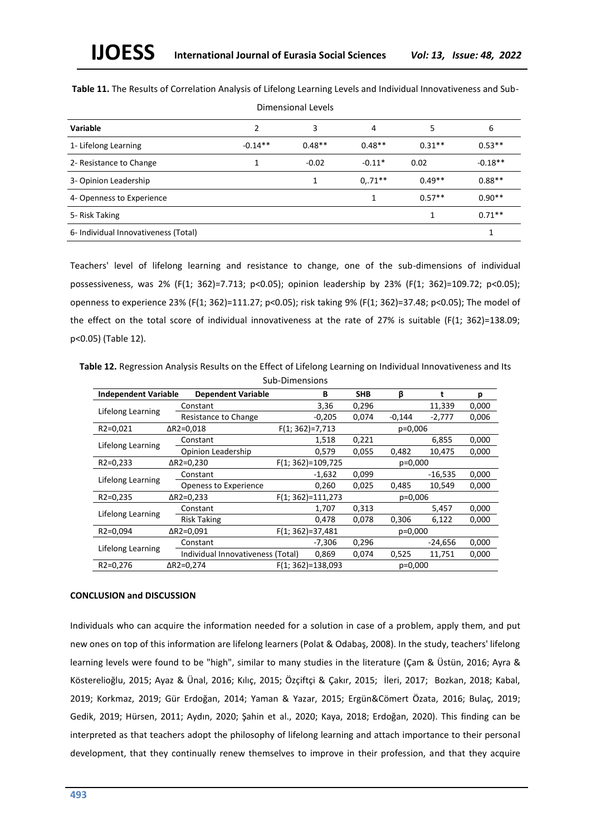| Diffiensional Levels                 |           |          |          |          |           |  |  |  |
|--------------------------------------|-----------|----------|----------|----------|-----------|--|--|--|
| Variable                             | า         | 3        | 4        | 5        | 6         |  |  |  |
| 1- Lifelong Learning                 | $-0.14**$ | $0.48**$ | $0.48**$ | $0.31**$ | $0.53**$  |  |  |  |
| 2- Resistance to Change              |           | $-0.02$  | $-0.11*$ | 0.02     | $-0.18**$ |  |  |  |
| 3- Opinion Leadership                |           | 1        | $0.71**$ | $0.49**$ | $0.88**$  |  |  |  |
| 4- Openness to Experience            |           |          |          | $0.57**$ | $0.90**$  |  |  |  |
| 5- Risk Taking                       |           |          |          |          | $0.71***$ |  |  |  |
| 6- Individual Innovativeness (Total) |           |          |          |          |           |  |  |  |

**Table 11.** The Results of Correlation Analysis of Lifelong Learning Levels and Individual Innovativeness and Sub-Dimensional Levels

Teachers' level of lifelong learning and resistance to change, one of the sub-dimensions of individual possessiveness, was 2% (F(1; 362)=7.713; p<0.05); opinion leadership by 23% (F(1; 362)=109.72; p<0.05); openness to experience 23% (F(1; 362)=111.27; p<0.05); risk taking 9% (F(1; 362)=37.48; p<0.05); The model of the effect on the total score of individual innovativeness at the rate of 27% is suitable (F(1; 362)=138.09; p<0.05) (Table 12).

**Table 12.** Regression Analysis Results on the Effect of Lifelong Learning on Individual Innovativeness and Its Sub-Dimensions

| sub-Dimensions              |                                   |                     |            |           |           |       |  |  |  |
|-----------------------------|-----------------------------------|---------------------|------------|-----------|-----------|-------|--|--|--|
| <b>Independent Variable</b> | <b>Dependent Variable</b>         | В                   | <b>SHB</b> | β         | t         | р     |  |  |  |
| Lifelong Learning           | Constant                          | 3,36                | 0,296      |           | 11,339    | 0,000 |  |  |  |
|                             | Resistance to Change              | $-0,205$            | 0,074      | $-0,144$  | $-2,777$  | 0,006 |  |  |  |
| $R2 = 0.021$                | ∆R2=0,018                         | $F(1; 362)=7,713$   | $p=0,006$  |           |           |       |  |  |  |
| Lifelong Learning           | Constant                          | 1,518               | 0,221      |           | 6,855     | 0,000 |  |  |  |
|                             | Opinion Leadership                | 0,579               | 0,055      | 0,482     | 10,475    | 0,000 |  |  |  |
| $R2 = 0,233$                | $\Delta$ R2=0,230                 | $F(1; 362)=109,725$ |            | p=0,000   |           |       |  |  |  |
| Lifelong Learning           | Constant                          | $-1,632$            | 0,099      |           | $-16,535$ | 0,000 |  |  |  |
|                             | Openess to Experience             | 0,260               | 0,025      | 0,485     | 10,549    | 0,000 |  |  |  |
| $R2 = 0,235$                | $\Delta$ R2=0,233                 | $F(1; 362)=111,273$ | p=0,006    |           |           |       |  |  |  |
| Lifelong Learning           | Constant                          | 1,707               | 0,313      |           | 5,457     | 0,000 |  |  |  |
|                             | <b>Risk Taking</b>                | 0,478               | 0,078      | 0,306     | 6,122     | 0,000 |  |  |  |
| R <sub>2</sub> =0,094       | ∆R2=0,091                         | $F(1; 362)=37,481$  |            | $p=0,000$ |           |       |  |  |  |
| Lifelong Learning           | Constant                          | $-7,306$            | 0,296      |           | $-24,656$ | 0,000 |  |  |  |
|                             | Individual Innovativeness (Total) | 0,869               | 0,074      | 0,525     | 11,751    | 0,000 |  |  |  |
| R <sub>2</sub> =0,276       | ∆R2=0,274                         | $F(1; 362)=138,093$ |            | p=0,000   |           |       |  |  |  |

### **CONCLUSION and DISCUSSION**

Individuals who can acquire the information needed for a solution in case of a problem, apply them, and put new ones on top of this information are lifelong learners (Polat & Odabaş, 2008). In the study, teachers' lifelong learning levels were found to be "high", similar to many studies in the literature (Çam & Üstün, 2016; Ayra & Kösterelioğlu, 2015; Ayaz & Ünal, 2016; Kılıç, 2015; Özçiftçi & Çakır, 2015; İleri, 2017; Bozkan, 2018; Kabal, 2019; Korkmaz, 2019; Gür Erdoğan, 2014; Yaman & Yazar, 2015; Ergün&Cömert Özata, 2016; Bulaç, 2019; Gedik, 2019; Hürsen, 2011; Aydın, 2020; Şahin et al., 2020; Kaya, 2018; Erdoğan, 2020). This finding can be interpreted as that teachers adopt the philosophy of lifelong learning and attach importance to their personal development, that they continually renew themselves to improve in their profession, and that they acquire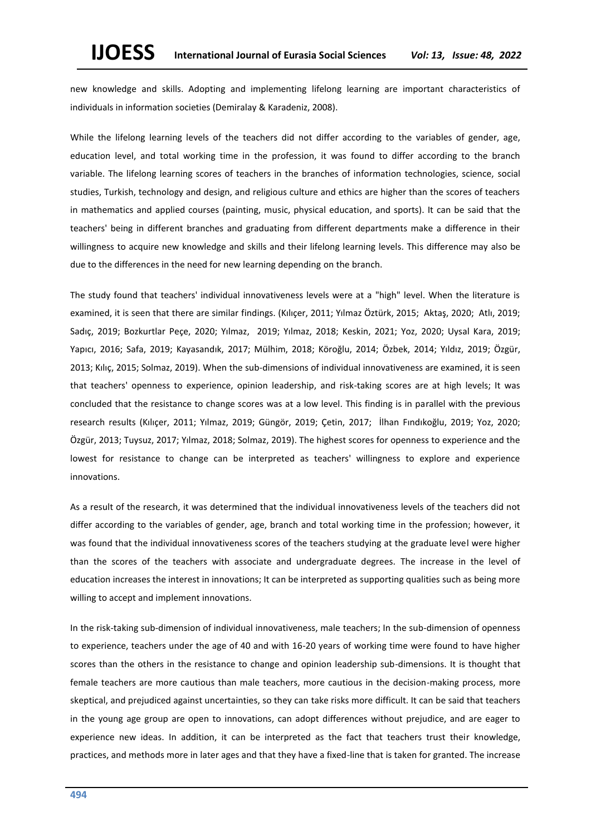new knowledge and skills. Adopting and implementing lifelong learning are important characteristics of individuals in information societies (Demiralay & Karadeniz, 2008).

While the lifelong learning levels of the teachers did not differ according to the variables of gender, age, education level, and total working time in the profession, it was found to differ according to the branch variable. The lifelong learning scores of teachers in the branches of information technologies, science, social studies, Turkish, technology and design, and religious culture and ethics are higher than the scores of teachers in mathematics and applied courses (painting, music, physical education, and sports). It can be said that the teachers' being in different branches and graduating from different departments make a difference in their willingness to acquire new knowledge and skills and their lifelong learning levels. This difference may also be due to the differences in the need for new learning depending on the branch.

The study found that teachers' individual innovativeness levels were at a "high" level. When the literature is examined, it is seen that there are similar findings. (Kılıçer, 2011; Yılmaz Öztürk, 2015; Aktaş, 2020; Atlı, 2019; Sadıç, 2019; Bozkurtlar Peçe, 2020; Yılmaz, 2019; Yılmaz, 2018; Keskin, 2021; Yoz, 2020; Uysal Kara, 2019; Yapıcı, 2016; Safa, 2019; Kayasandık, 2017; Mülhim, 2018; Köroğlu, 2014; Özbek, 2014; Yıldız, 2019; Özgür, 2013; Kılıç, 2015; Solmaz, 2019). When the sub-dimensions of individual innovativeness are examined, it is seen that teachers' openness to experience, opinion leadership, and risk-taking scores are at high levels; It was concluded that the resistance to change scores was at a low level. This finding is in parallel with the previous research results (Kılıçer, 2011; Yılmaz, 2019; Güngör, 2019; Çetin, 2017; İlhan Fındıkoğlu, 2019; Yoz, 2020; Özgür, 2013; Tuysuz, 2017; Yılmaz, 2018; Solmaz, 2019). The highest scores for openness to experience and the lowest for resistance to change can be interpreted as teachers' willingness to explore and experience innovations.

As a result of the research, it was determined that the individual innovativeness levels of the teachers did not differ according to the variables of gender, age, branch and total working time in the profession; however, it was found that the individual innovativeness scores of the teachers studying at the graduate level were higher than the scores of the teachers with associate and undergraduate degrees. The increase in the level of education increases the interest in innovations; It can be interpreted as supporting qualities such as being more willing to accept and implement innovations.

In the risk-taking sub-dimension of individual innovativeness, male teachers; In the sub-dimension of openness to experience, teachers under the age of 40 and with 16-20 years of working time were found to have higher scores than the others in the resistance to change and opinion leadership sub-dimensions. It is thought that female teachers are more cautious than male teachers, more cautious in the decision-making process, more skeptical, and prejudiced against uncertainties, so they can take risks more difficult. It can be said that teachers in the young age group are open to innovations, can adopt differences without prejudice, and are eager to experience new ideas. In addition, it can be interpreted as the fact that teachers trust their knowledge, practices, and methods more in later ages and that they have a fixed-line that is taken for granted. The increase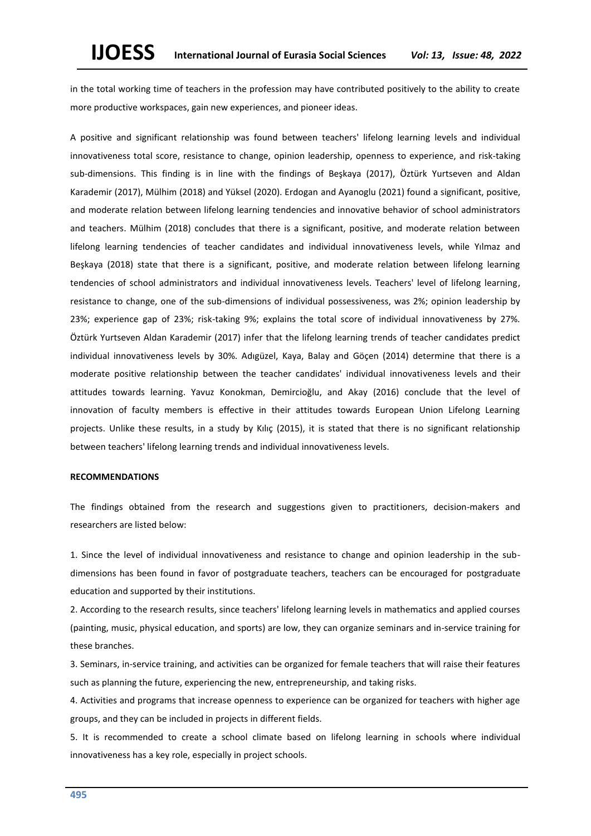in the total working time of teachers in the profession may have contributed positively to the ability to create more productive workspaces, gain new experiences, and pioneer ideas.

A positive and significant relationship was found between teachers' lifelong learning levels and individual innovativeness total score, resistance to change, opinion leadership, openness to experience, and risk-taking sub-dimensions. This finding is in line with the findings of Beşkaya (2017), Öztürk Yurtseven and Aldan Karademir (2017), Mülhim (2018) and Yüksel (2020). Erdogan and Ayanoglu (2021) found a significant, positive, and moderate relation between lifelong learning tendencies and innovative behavior of school administrators and teachers. Mülhim (2018) concludes that there is a significant, positive, and moderate relation between lifelong learning tendencies of teacher candidates and individual innovativeness levels, while Yılmaz and Beşkaya (2018) state that there is a significant, positive, and moderate relation between lifelong learning tendencies of school administrators and individual innovativeness levels. Teachers' level of lifelong learning, resistance to change, one of the sub-dimensions of individual possessiveness, was 2%; opinion leadership by 23%; experience gap of 23%; risk-taking 9%; explains the total score of individual innovativeness by 27%. Öztürk Yurtseven Aldan Karademir (2017) infer that the lifelong learning trends of teacher candidates predict individual innovativeness levels by 30%. Adıgüzel, Kaya, Balay and Göçen (2014) determine that there is a moderate positive relationship between the teacher candidates' individual innovativeness levels and their attitudes towards learning. Yavuz Konokman, Demircioğlu, and Akay (2016) conclude that the level of innovation of faculty members is effective in their attitudes towards European Union Lifelong Learning projects. Unlike these results, in a study by Kılıç (2015), it is stated that there is no significant relationship between teachers' lifelong learning trends and individual innovativeness levels.

### **RECOMMENDATIONS**

The findings obtained from the research and suggestions given to practitioners, decision-makers and researchers are listed below:

1. Since the level of individual innovativeness and resistance to change and opinion leadership in the subdimensions has been found in favor of postgraduate teachers, teachers can be encouraged for postgraduate education and supported by their institutions.

2. According to the research results, since teachers' lifelong learning levels in mathematics and applied courses (painting, music, physical education, and sports) are low, they can organize seminars and in-service training for these branches.

3. Seminars, in-service training, and activities can be organized for female teachers that will raise their features such as planning the future, experiencing the new, entrepreneurship, and taking risks.

4. Activities and programs that increase openness to experience can be organized for teachers with higher age groups, and they can be included in projects in different fields.

5. It is recommended to create a school climate based on lifelong learning in schools where individual innovativeness has a key role, especially in project schools.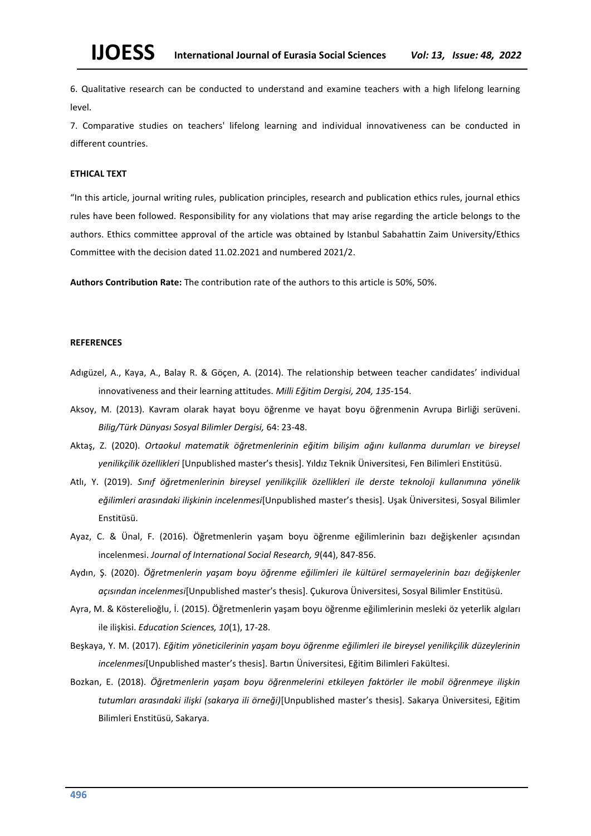6. Qualitative research can be conducted to understand and examine teachers with a high lifelong learning level.

7. Comparative studies on teachers' lifelong learning and individual innovativeness can be conducted in different countries.

## **ETHICAL TEXT**

"In this article, journal writing rules, publication principles, research and publication ethics rules, journal ethics rules have been followed. Responsibility for any violations that may arise regarding the article belongs to the authors. Ethics committee approval of the article was obtained by Istanbul Sabahattin Zaim University/Ethics Committee with the decision dated 11.02.2021 and numbered 2021/2.

**Authors Contribution Rate:** The contribution rate of the authors to this article is 50%, 50%.

## **REFERENCES**

- Adıgüzel, A., Kaya, A., Balay R. & Göçen, A. (2014). The relationship between teacher candidates' individual innovativeness and their learning attitudes. *Milli Eğitim Dergisi, 204, 135*-154.
- Aksoy, M. (2013). Kavram olarak hayat boyu öğrenme ve hayat boyu öğrenmenin Avrupa Birliği serüveni. *Bilig/Türk Dünyası Sosyal Bilimler Dergisi,* 64: 23-48.
- Aktaş, Z. (2020). *Ortaokul matematik öğretmenlerinin eğitim bilişim ağını kullanma durumları ve bireysel yenilikçilik özellikleri* [Unpublished master's thesis]. Yıldız Teknik Üniversitesi, Fen Bilimleri Enstitüsü.
- Atlı, Y. (2019). *Sınıf öğretmenlerinin bireysel yenilikçilik özellikleri ile derste teknoloji kullanımına yönelik eğilimleri arasındaki ilişkinin incelenmesi*[Unpublished master's thesis]. Uşak Üniversitesi, Sosyal Bilimler Enstitüsü.
- Ayaz, C. & Ünal, F. (2016). Öğretmenlerin yaşam boyu öğrenme eğilimlerinin bazı değişkenler açısından incelenmesi. *Journal of International Social Research, 9*(44), 847-856.
- Aydın, Ş. (2020). *Öğretmenlerin yaşam boyu öğrenme eğilimleri ile kültürel sermayelerinin bazı değişkenler açısından incelenmesi*[Unpublished master's thesis]. Çukurova Üniversitesi, Sosyal Bilimler Enstitüsü.
- Ayra, M. & Kösterelioğlu, İ. (2015). Öğretmenlerin yaşam boyu öğrenme eğilimlerinin mesleki öz yeterlik algıları ile ilişkisi. *Education Sciences, 10*(1), 17-28.
- Beşkaya, Y. M. (2017). *Eğitim yöneticilerinin yaşam boyu öğrenme eğilimleri ile bireysel yenilikçilik düzeylerinin incelenmesi*[Unpublished master's thesis]. Bartın Üniversitesi, Eğitim Bilimleri Fakültesi.
- Bozkan, E. (2018). *Öğretmenlerin yaşam boyu öğrenmelerini etkileyen faktörler ile mobil öğrenmeye ilişkin tutumları arasındaki ilişki (sakarya ili örneği)*[Unpublished master's thesis]. Sakarya Üniversitesi, Eğitim Bilimleri Enstitüsü, Sakarya.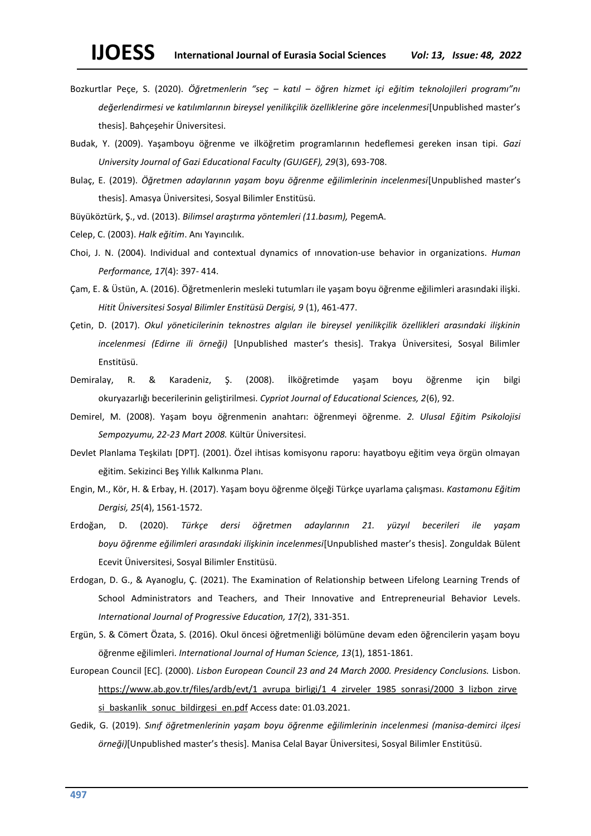- Bozkurtlar Peçe, S. (2020). *Öğretmenlerin "seç – katıl – öğren hizmet içi eğitim teknolojileri programı"nı değerlendirmesi ve katılımlarının bireysel yenilikçilik özelliklerine göre incelenmesi*[Unpublished master's thesis]. Bahçeşehir Üniversitesi.
- Budak, Y. (2009). Yaşamboyu öğrenme ve ilköğretim programlarının hedeflemesi gereken insan tipi. *Gazi University Journal of Gazi Educational Faculty (GUJGEF), 29*(3), 693-708.
- Bulaç, E. (2019). *Öğretmen adaylarının yaşam boyu öğrenme eğilimlerinin incelenmesi*[Unpublished master's thesis]. Amasya Üniversitesi, Sosyal Bilimler Enstitüsü.
- Büyüköztürk, Ş., vd. (2013). *Bilimsel araştırma yöntemleri (11.basım),* PegemA.
- Celep, C. (2003). *Halk eğitim*. Anı Yayıncılık.
- Choi, J. N. (2004). Individual and contextual dynamics of ınnovation-use behavior in organizations. *Human Performance, 17*(4): 397- 414.
- Çam, E. & Üstün, A. (2016). Öğretmenlerin mesleki tutumları ile yaşam boyu öğrenme eğilimleri arasındaki ilişki. *Hitit Üniversitesi Sosyal Bilimler Enstitüsü Dergisi, 9* (1), 461-477.
- Çetin, D. (2017). *Okul yöneticilerinin teknostres algıları ile bireysel yenilikçilik özellikleri arasındaki ilişkinin incelenmesi (Edirne ili örneği)* [Unpublished master's thesis]. Trakya Üniversitesi, Sosyal Bilimler Enstitüsü.
- Demiralay, R. & Karadeniz, Ş. (2008). İlköğretimde yaşam boyu öğrenme için bilgi okuryazarlığı becerilerinin geliştirilmesi. *Cypriot Journal of Educational Sciences, 2*(6), 92.
- Demirel, M. (2008). Yaşam boyu öğrenmenin anahtarı: öğrenmeyi öğrenme. *2. Ulusal Eğitim Psikolojisi Sempozyumu, 22-23 Mart 2008.* Kültür Üniversitesi.
- Devlet Planlama Teşkilatı [DPT]. (2001). Özel ihtisas komisyonu raporu: hayatboyu eğitim veya örgün olmayan eğitim. Sekizinci Beş Yıllık Kalkınma Planı.
- Engin, M., Kör, H. & Erbay, H. (2017). Yaşam boyu öğrenme ölçeği Türkçe uyarlama çalışması. *Kastamonu Eğitim Dergisi, 25*(4), 1561-1572.
- Erdoğan, D. (2020). *Türkçe dersi öğretmen adaylarının 21. yüzyıl becerileri ile yaşam boyu öğrenme eğilimleri arasındaki ilişkinin incelenmesi*[Unpublished master's thesis]. Zonguldak Bülent Ecevit Üniversitesi, Sosyal Bilimler Enstitüsü.
- Erdogan, D. G., & Ayanoglu, Ç. (2021). The Examination of Relationship between Lifelong Learning Trends of School Administrators and Teachers, and Their Innovative and Entrepreneurial Behavior Levels. *International Journal of Progressive Education, 17(*2), 331-351.
- Ergün, S. & Cömert Özata, S. (2016). Okul öncesi öğretmenliği bölümüne devam eden öğrencilerin yaşam boyu öğrenme eğilimleri. *International Journal of Human Science, 13*(1), 1851-1861.
- European Council [EC]. (2000). *Lisbon European Council 23 and 24 March 2000. Presidency Conclusions.* Lisbon. https://www.ab.gov.tr/files/ardb/evt/1 avrupa\_birligi/1\_4\_zirveler\_1985\_sonrasi/2000\_3\_lizbon\_zirve [si\\_baskanlik\\_sonuc\\_bildirgesi\\_en.pdf](https://www.ab.gov.tr/files/ardb/evt/1_avrupa_birligi/1_4_zirveler_1985_sonrasi/2000_3_lizbon_zirvesi_baskanlik_sonuc_bildirgesi_en.pdf) Access date: 01.03.2021.
- Gedik, G. (2019). *Sınıf öğretmenlerinin yaşam boyu öğrenme eğilimlerinin incelenmesi (manisa-demirci ilçesi örneği)*[Unpublished master's thesis]. Manisa Celal Bayar Üniversitesi, Sosyal Bilimler Enstitüsü.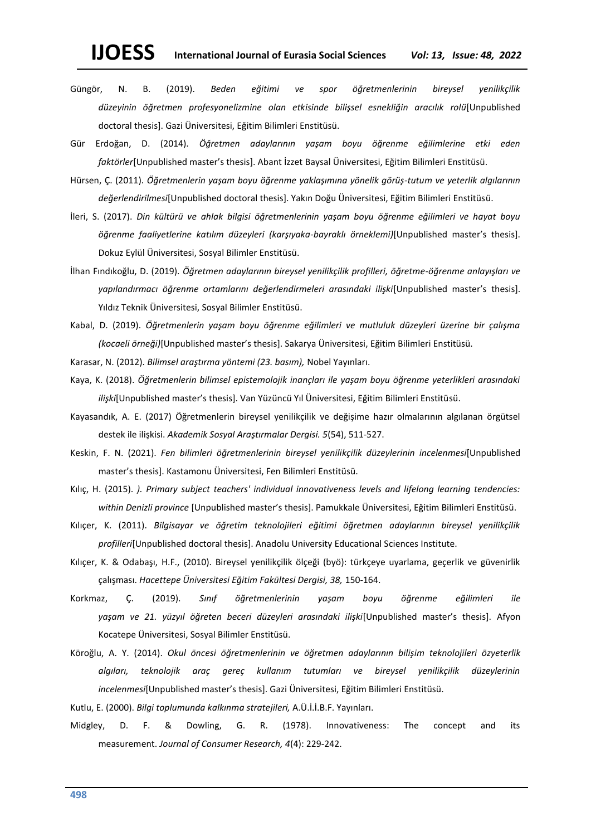- Güngör, N. B. (2019). *Beden eğitimi ve spor öğretmenlerinin bireysel yenilikçilik düzeyinin öğretmen profesyonelizmine olan etkisinde bilişsel esnekliğin aracılık rolü*[Unpublished doctoral thesis]. Gazi Üniversitesi, Eğitim Bilimleri Enstitüsü.
- Gür Erdoğan, D. (2014). *Öğretmen adaylarının yaşam boyu öğrenme eğilimlerine etki eden faktörler*[Unpublished master's thesis]. Abant İzzet Baysal Üniversitesi, Eğitim Bilimleri Enstitüsü.
- Hürsen, Ç. (2011). *Öğretmenlerin yaşam boyu öğrenme yaklaşımına yönelik görüş-tutum ve yeterlik algılarının değerlendirilmesi*[Unpublished doctoral thesis]. Yakın Doğu Üniversitesi, Eğitim Bilimleri Enstitüsü.
- İleri, S. (2017). *Din kültürü ve ahlak bilgisi öğretmenlerinin yaşam boyu öğrenme eğilimleri ve hayat boyu öğrenme faaliyetlerine katılım düzeyleri (karşıyaka-bayraklı örneklemi)*[Unpublished master's thesis]. Dokuz Eylül Üniversitesi, Sosyal Bilimler Enstitüsü.
- İlhan Fındıkoğlu, D. (2019). *Öğretmen adaylarının bireysel yenilikçilik profilleri, öğretme-öğrenme anlayışları ve yapılandırmacı öğrenme ortamlarını değerlendirmeleri arasındaki ilişki*[Unpublished master's thesis]. Yıldız Teknik Üniversitesi, Sosyal Bilimler Enstitüsü.
- Kabal, D. (2019). *Öğretmenlerin yaşam boyu öğrenme eğilimleri ve mutluluk düzeyleri üzerine bir çalışma (kocaeli örneği)*[Unpublished master's thesis]. Sakarya Üniversitesi, Eğitim Bilimleri Enstitüsü.
- Karasar, N. (2012). *Bilimsel araştırma yöntemi (23. basım),* Nobel Yayınları.
- Kaya, K. (2018). *Öğretmenlerin bilimsel epistemolojik inançları ile yaşam boyu öğrenme yeterlikleri arasındaki ilişki*[Unpublished master's thesis]. Van Yüzüncü Yıl Üniversitesi, Eğitim Bilimleri Enstitüsü.
- Kayasandık, A. E. (2017) Öğretmenlerin bireysel yenilikçilik ve değişime hazır olmalarının algılanan örgütsel destek ile ilişkisi. *Akademik Sosyal Araştırmalar Dergisi. 5*(54), 511-527.
- Keskin, F. N. (2021). *Fen bilimleri öğretmenlerinin bireysel yenilikçilik düzeylerinin incelenmesi*[Unpublished master's thesis]. Kastamonu Üniversitesi, Fen Bilimleri Enstitüsü.
- Kılıç, H. (2015). *). Primary subject teachers' individual innovativeness levels and lifelong learning tendencies: within Denizli province* [Unpublished master's thesis]. Pamukkale Üniversitesi, Eğitim Bilimleri Enstitüsü.
- Kılıçer, K. (2011). *Bilgisayar ve öğretim teknolojileri eğitimi öğretmen adaylarının bireysel yenilikçilik profilleri*[Unpublished doctoral thesis]. Anadolu University Educational Sciences Institute.
- Kılıçer, K. & Odabaşı, H.F., (2010). Bireysel yenilikçilik ölçeği (byö): türkçeye uyarlama, geçerlik ve güvenirlik çalışması. *Hacettepe Üniversitesi Eğitim Fakültesi Dergisi, 38,* 150-164.
- Korkmaz, Ç. (2019). *Sınıf öğretmenlerinin yaşam boyu öğrenme eğilimleri ile yaşam ve 21. yüzyıl öğreten beceri düzeyleri arasındaki ilişki*[Unpublished master's thesis]. Afyon Kocatepe Üniversitesi, Sosyal Bilimler Enstitüsü.
- Köroğlu, A. Y. (2014). *Okul öncesi öğretmenlerinin ve öğretmen adaylarının bilişim teknolojileri özyeterlik algıları, teknolojik araç gereç kullanım tutumları ve bireysel yenilikçilik düzeylerinin incelenmesi*[Unpublished master's thesis]. Gazi Üniversitesi, Eğitim Bilimleri Enstitüsü.
- Kutlu, E. (2000). *Bilgi toplumunda kalkınma stratejileri,* A.Ü.İ.İ.B.F. Yayınları.
- Midgley, D. F. & Dowling, G. R. (1978). Innovativeness: The concept and its measurement. *Journal of Consumer Research, 4*(4): 229-242.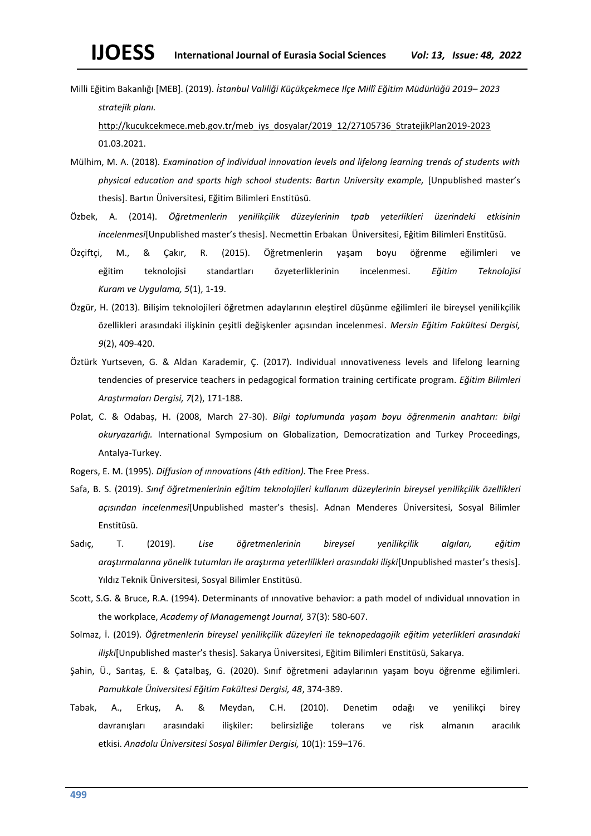Milli Eğitim Bakanlığı [MEB]. (2019). *İstanbul Valiliği Küçükçekmece Ilçe Millî Eğitim Müdürlüğü 2019– 2023 stratejik planı.* 

[http://kucukcekmece.meb.gov.tr/meb\\_iys\\_dosyalar/2019\\_12/27105736\\_StratejikPlan2019-2023](http://kucukcekmece.meb.gov.tr/meb_iys_dosyalar/2019_12/27105736_StratejikPlan2019-2023) 01.03.2021.

- Mülhim, M. A. (2018). *Examination of individual innovation levels and lifelong learning trends of students with physical education and sports high school students: Bartın University example,* [Unpublished master's thesis]. Bartın Üniversitesi, Eğitim Bilimleri Enstitüsü.
- Özbek, A. (2014). *Öğretmenlerin yenilikçilik düzeylerinin tpab yeterlikleri üzerindeki etkisinin incelenmesi*[Unpublished master's thesis]. Necmettin Erbakan Üniversitesi, Eğitim Bilimleri Enstitüsü.
- Özçiftçi, M., & Çakır, R. (2015). Öğretmenlerin yaşam boyu öğrenme eğilimleri ve eğitim teknolojisi standartları özyeterliklerinin incelenmesi. *Eğitim Teknolojisi Kuram ve Uygulama, 5*(1), 1-19.
- Özgür, H. (2013). Bilişim teknolojileri öğretmen adaylarının eleştirel düşünme eğilimleri ile bireysel yenilikçilik özellikleri arasındaki ilişkinin çeşitli değişkenler açısından incelenmesi. *Mersin Eğitim Fakültesi Dergisi, 9*(2), 409-420.
- Öztürk Yurtseven, G. & Aldan Karademir, Ç. (2017). Individual ınnovativeness levels and lifelong learning tendencies of preservice teachers in pedagogical formation training certificate program. *Eğitim Bilimleri Araştırmaları Dergisi, 7*(2), 171-188.
- Polat, C. & Odabaş, H. (2008, March 27-30). *Bilgi toplumunda yaşam boyu öğrenmenin anahtarı: bilgi okuryazarlığı.* International Symposium on Globalization, Democratization and Turkey Proceedings, Antalya-Turkey.
- Rogers, E. M. (1995). *Diffusion of ınnovations (4th edition).* The Free Press.
- Safa, B. S. (2019). *Sınıf öğretmenlerinin eğitim teknolojileri kullanım düzeylerinin bireysel yenilikçilik özellikleri açısından incelenmesi*[Unpublished master's thesis]. Adnan Menderes Üniversitesi, Sosyal Bilimler Enstitüsü.
- Sadıç, T. (2019). *Lise öğretmenlerinin bireysel yenilikçilik algıları, eğitim araştırmalarına yönelik tutumları ile araştırma yeterlilikleri arasındaki ilişki*[Unpublished master's thesis]. Yıldız Teknik Üniversitesi, Sosyal Bilimler Enstitüsü.
- Scott, S.G. & Bruce, R.A. (1994). Determinants of ınnovative behavior: a path model of ındividual ınnovation in the workplace, *Academy of Managemengt Journal,* 37(3): 580-607.
- Solmaz, İ. (2019). *Öğretmenlerin bireysel yenilikçilik düzeyleri ile teknopedagojik eğitim yeterlikleri arasındaki ilişki*[Unpublished master's thesis]. Sakarya Üniversitesi, Eğitim Bilimleri Enstitüsü, Sakarya.
- Şahin, Ü., Sarıtaş, E. & Çatalbaş, G. (2020). Sınıf öğretmeni adaylarının yaşam boyu öğrenme eğilimleri. *Pamukkale Üniversitesi Eğitim Fakültesi Dergisi, 48*, 374-389.
- Tabak, A., Erkuş, A. & Meydan, C.H. (2010). Denetim odağı ve yenilikçi birey davranışları arasındaki ilişkiler: belirsizliğe tolerans ve risk almanın aracılık etkisi. *Anadolu Üniversitesi Sosyal Bilimler Dergisi,* 10(1): 159–176.